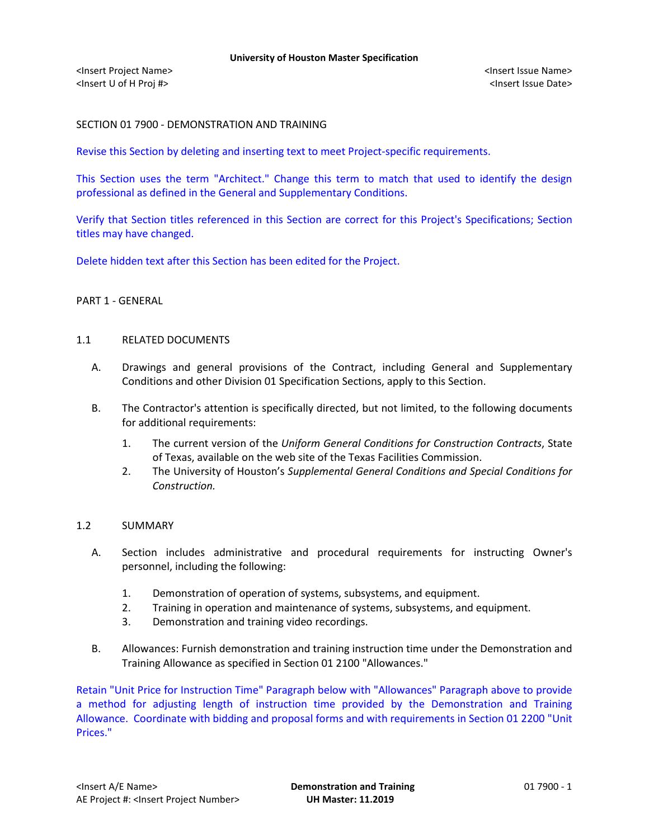# SECTION 01 7900 - DEMONSTRATION AND TRAINING

Revise this Section by deleting and inserting text to meet Project-specific requirements.

This Section uses the term "Architect." Change this term to match that used to identify the design professional as defined in the General and Supplementary Conditions.

Verify that Section titles referenced in this Section are correct for this Project's Specifications; Section titles may have changed.

Delete hidden text after this Section has been edited for the Project.

## PART 1 - GENERAL

### 1.1 RELATED DOCUMENTS

- A. Drawings and general provisions of the Contract, including General and Supplementary Conditions and other Division 01 Specification Sections, apply to this Section.
- B. The Contractor's attention is specifically directed, but not limited, to the following documents for additional requirements:
	- 1. The current version of the *Uniform General Conditions for Construction Contracts*, State of Texas, available on the web site of the Texas Facilities Commission.
	- 2. The University of Houston's *Supplemental General Conditions and Special Conditions for Construction.*

## 1.2 SUMMARY

- A. Section includes administrative and procedural requirements for instructing Owner's personnel, including the following:
	- 1. Demonstration of operation of systems, subsystems, and equipment.
	- 2. Training in operation and maintenance of systems, subsystems, and equipment.
	- 3. Demonstration and training video recordings.
- B. Allowances: Furnish demonstration and training instruction time under the Demonstration and Training Allowance as specified in Section 01 2100 "Allowances."

Retain "Unit Price for Instruction Time" Paragraph below with "Allowances" Paragraph above to provide a method for adjusting length of instruction time provided by the Demonstration and Training Allowance. Coordinate with bidding and proposal forms and with requirements in Section 01 2200 "Unit Prices."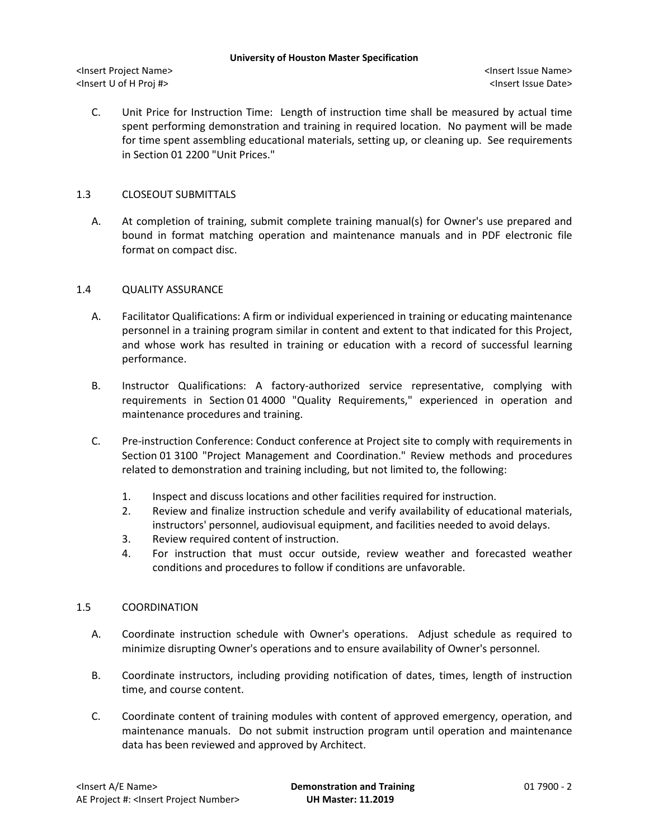#### **University of Houston Master Specification**

<Insert Project Name> <Insert Issue Name> <Insert U of H Proj #> <Insert Issue Date>

C. Unit Price for Instruction Time: Length of instruction time shall be measured by actual time spent performing demonstration and training in required location. No payment will be made for time spent assembling educational materials, setting up, or cleaning up. See requirements in Section 01 2200 "Unit Prices."

## 1.3 CLOSEOUT SUBMITTALS

A. At completion of training, submit complete training manual(s) for Owner's use prepared and bound in format matching operation and maintenance manuals and in PDF electronic file format on compact disc.

## 1.4 QUALITY ASSURANCE

- A. Facilitator Qualifications: A firm or individual experienced in training or educating maintenance personnel in a training program similar in content and extent to that indicated for this Project, and whose work has resulted in training or education with a record of successful learning performance.
- B. Instructor Qualifications: A factory-authorized service representative, complying with requirements in Section 01 4000 "Quality Requirements," experienced in operation and maintenance procedures and training.
- C. Pre-instruction Conference: Conduct conference at Project site to comply with requirements in Section 01 3100 "Project Management and Coordination." Review methods and procedures related to demonstration and training including, but not limited to, the following:
	- 1. Inspect and discuss locations and other facilities required for instruction.
	- 2. Review and finalize instruction schedule and verify availability of educational materials, instructors' personnel, audiovisual equipment, and facilities needed to avoid delays.
	- 3. Review required content of instruction.
	- 4. For instruction that must occur outside, review weather and forecasted weather conditions and procedures to follow if conditions are unfavorable.

### 1.5 COORDINATION

- A. Coordinate instruction schedule with Owner's operations. Adjust schedule as required to minimize disrupting Owner's operations and to ensure availability of Owner's personnel.
- B. Coordinate instructors, including providing notification of dates, times, length of instruction time, and course content.
- C. Coordinate content of training modules with content of approved emergency, operation, and maintenance manuals. Do not submit instruction program until operation and maintenance data has been reviewed and approved by Architect.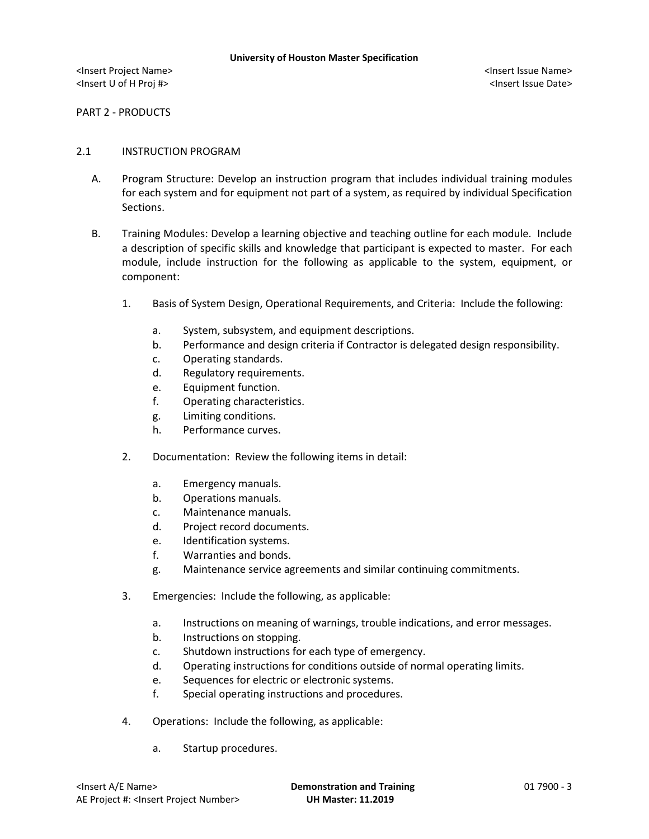PART 2 - PRODUCTS

### 2.1 INSTRUCTION PROGRAM

- A. Program Structure: Develop an instruction program that includes individual training modules for each system and for equipment not part of a system, as required by individual Specification Sections.
- B. Training Modules: Develop a learning objective and teaching outline for each module. Include a description of specific skills and knowledge that participant is expected to master. For each module, include instruction for the following as applicable to the system, equipment, or component:
	- 1. Basis of System Design, Operational Requirements, and Criteria: Include the following:
		- a. System, subsystem, and equipment descriptions.
		- b. Performance and design criteria if Contractor is delegated design responsibility.
		- c. Operating standards.
		- d. Regulatory requirements.
		- e. Equipment function.
		- f. Operating characteristics.
		- g. Limiting conditions.
		- h. Performance curves.
	- 2. Documentation: Review the following items in detail:
		- a. Emergency manuals.
		- b. Operations manuals.
		- c. Maintenance manuals.
		- d. Project record documents.
		- e. Identification systems.
		- f. Warranties and bonds.
		- g. Maintenance service agreements and similar continuing commitments.
	- 3. Emergencies: Include the following, as applicable:
		- a. Instructions on meaning of warnings, trouble indications, and error messages.
		- b. Instructions on stopping.
		- c. Shutdown instructions for each type of emergency.
		- d. Operating instructions for conditions outside of normal operating limits.
		- e. Sequences for electric or electronic systems.
		- f. Special operating instructions and procedures.
	- 4. Operations: Include the following, as applicable:
		- a. Startup procedures.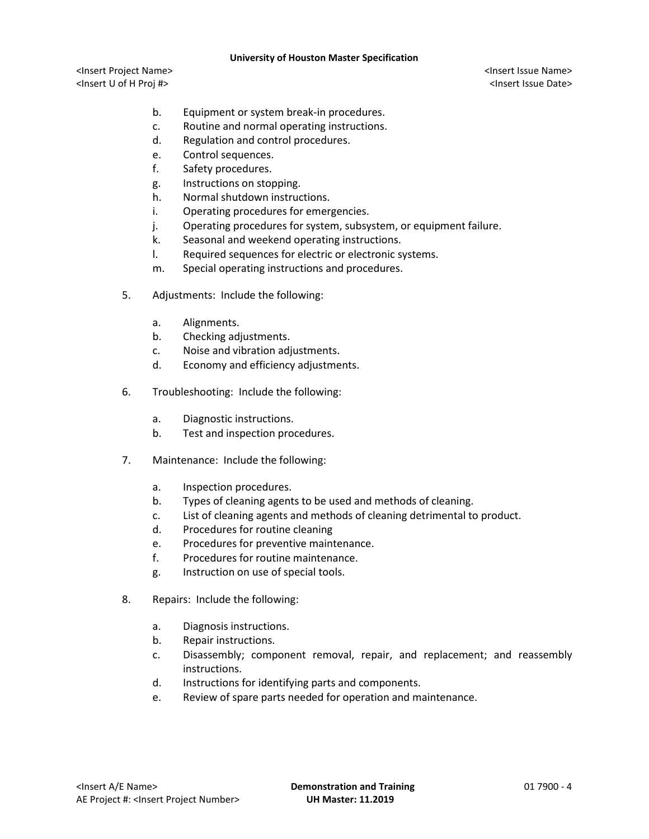#### **University of Houston Master Specification**

<Insert Project Name> <Insert Issue Name> <Insert U of H Proj #> <Insert Issue Date>

- b. Equipment or system break-in procedures.
- c. Routine and normal operating instructions.
- d. Regulation and control procedures.
- e. Control sequences.
- f. Safety procedures.
- g. Instructions on stopping.
- h. Normal shutdown instructions.
- i. Operating procedures for emergencies.
- j. Operating procedures for system, subsystem, or equipment failure.
- k. Seasonal and weekend operating instructions.
- l. Required sequences for electric or electronic systems.
- m. Special operating instructions and procedures.
- 5. Adjustments: Include the following:
	- a. Alignments.
	- b. Checking adjustments.
	- c. Noise and vibration adjustments.
	- d. Economy and efficiency adjustments.
- 6. Troubleshooting: Include the following:
	- a. Diagnostic instructions.
	- b. Test and inspection procedures.
- 7. Maintenance: Include the following:
	- a. Inspection procedures.
	- b. Types of cleaning agents to be used and methods of cleaning.
	- c. List of cleaning agents and methods of cleaning detrimental to product.
	- d. Procedures for routine cleaning
	- e. Procedures for preventive maintenance.
	- f. Procedures for routine maintenance.
	- g. Instruction on use of special tools.
- 8. Repairs: Include the following:
	- a. Diagnosis instructions.
	- b. Repair instructions.
	- c. Disassembly; component removal, repair, and replacement; and reassembly instructions.
	- d. Instructions for identifying parts and components.
	- e. Review of spare parts needed for operation and maintenance.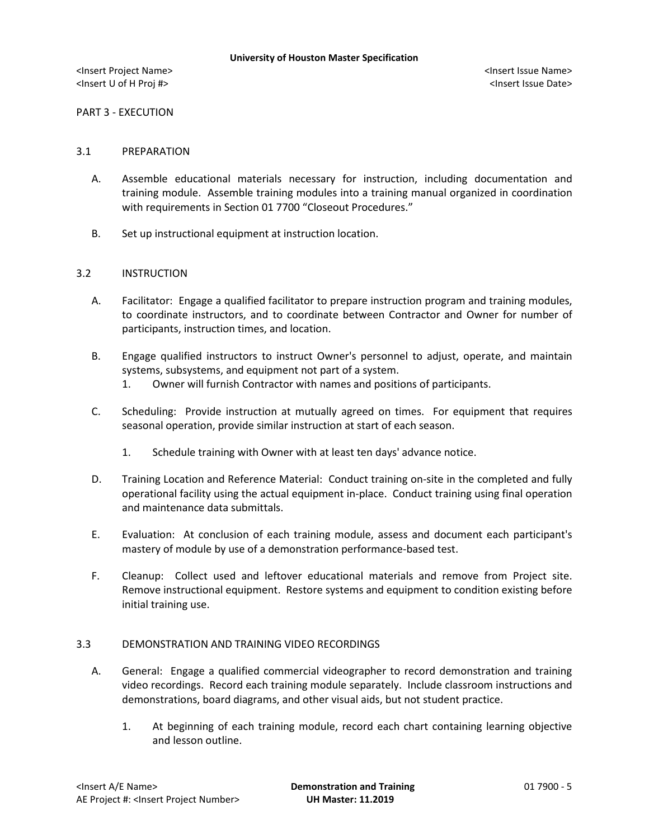PART 3 - EXECUTION

#### 3.1 PREPARATION

- A. Assemble educational materials necessary for instruction, including documentation and training module. Assemble training modules into a training manual organized in coordination with requirements in Section 01 7700 "Closeout Procedures."
- B. Set up instructional equipment at instruction location.

### 3.2 INSTRUCTION

- A. Facilitator: Engage a qualified facilitator to prepare instruction program and training modules, to coordinate instructors, and to coordinate between Contractor and Owner for number of participants, instruction times, and location.
- B. Engage qualified instructors to instruct Owner's personnel to adjust, operate, and maintain systems, subsystems, and equipment not part of a system.
	- 1. Owner will furnish Contractor with names and positions of participants.
- C. Scheduling: Provide instruction at mutually agreed on times. For equipment that requires seasonal operation, provide similar instruction at start of each season.
	- 1. Schedule training with Owner with at least ten days' advance notice.
- D. Training Location and Reference Material: Conduct training on-site in the completed and fully operational facility using the actual equipment in-place. Conduct training using final operation and maintenance data submittals.
- E. Evaluation: At conclusion of each training module, assess and document each participant's mastery of module by use of a demonstration performance-based test.
- F. Cleanup: Collect used and leftover educational materials and remove from Project site. Remove instructional equipment. Restore systems and equipment to condition existing before initial training use.

### 3.3 DEMONSTRATION AND TRAINING VIDEO RECORDINGS

- A. General: Engage a qualified commercial videographer to record demonstration and training video recordings. Record each training module separately. Include classroom instructions and demonstrations, board diagrams, and other visual aids, but not student practice.
	- 1. At beginning of each training module, record each chart containing learning objective and lesson outline.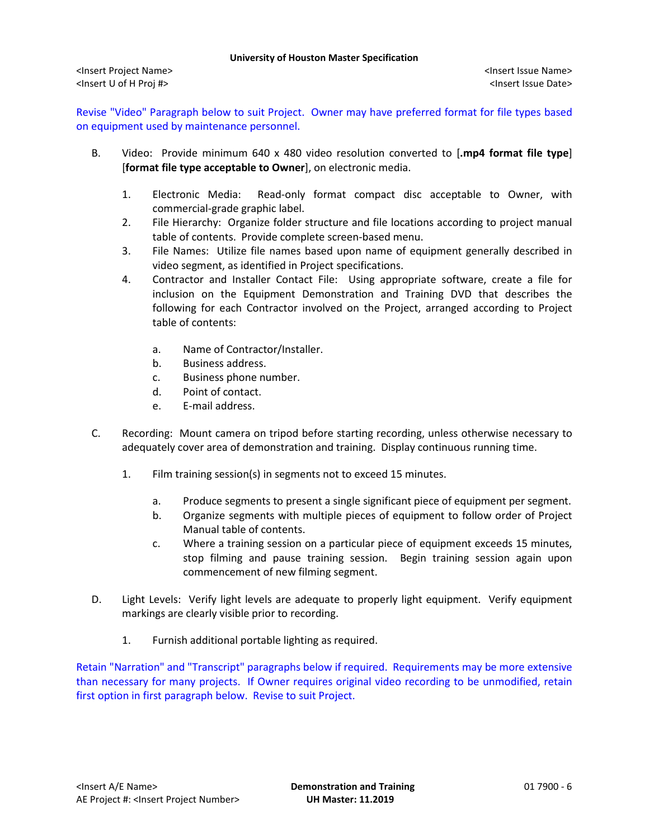Revise "Video" Paragraph below to suit Project. Owner may have preferred format for file types based on equipment used by maintenance personnel.

- B. Video: Provide minimum 640 x 480 video resolution converted to [**.mp4 format file type**] [**format file type acceptable to Owner**], on electronic media.
	- 1. Electronic Media: Read-only format compact disc acceptable to Owner, with commercial-grade graphic label.
	- 2. File Hierarchy: Organize folder structure and file locations according to project manual table of contents. Provide complete screen-based menu.
	- 3. File Names: Utilize file names based upon name of equipment generally described in video segment, as identified in Project specifications.
	- 4. Contractor and Installer Contact File: Using appropriate software, create a file for inclusion on the Equipment Demonstration and Training DVD that describes the following for each Contractor involved on the Project, arranged according to Project table of contents:
		- a. Name of Contractor/Installer.
		- b. Business address.
		- c. Business phone number.
		- d. Point of contact.
		- e. E-mail address.
- C. Recording: Mount camera on tripod before starting recording, unless otherwise necessary to adequately cover area of demonstration and training. Display continuous running time.
	- 1. Film training session(s) in segments not to exceed 15 minutes.
		- a. Produce segments to present a single significant piece of equipment per segment.
		- b. Organize segments with multiple pieces of equipment to follow order of Project Manual table of contents.
		- c. Where a training session on a particular piece of equipment exceeds 15 minutes, stop filming and pause training session. Begin training session again upon commencement of new filming segment.
- D. Light Levels: Verify light levels are adequate to properly light equipment. Verify equipment markings are clearly visible prior to recording.
	- 1. Furnish additional portable lighting as required.

Retain "Narration" and "Transcript" paragraphs below if required. Requirements may be more extensive than necessary for many projects. If Owner requires original video recording to be unmodified, retain first option in first paragraph below. Revise to suit Project.